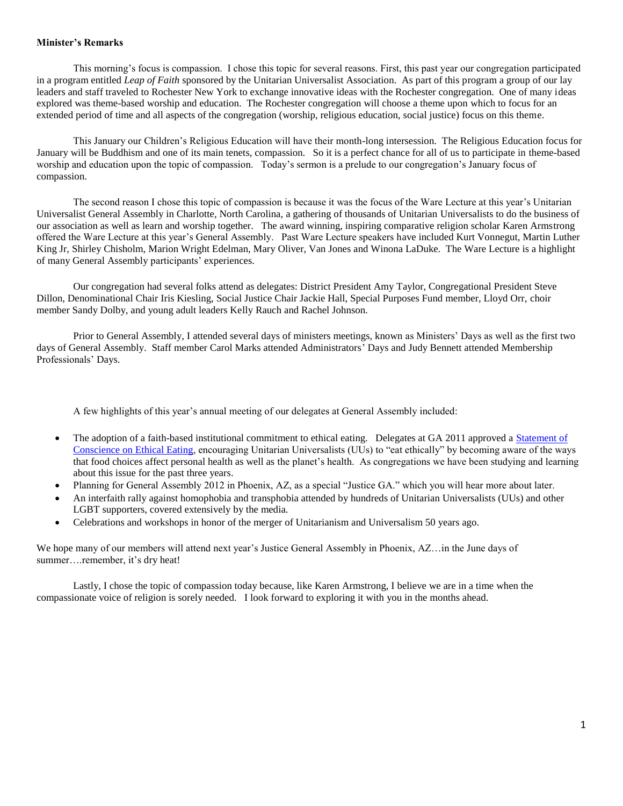## **Minister's Remarks**

This morning's focus is compassion. I chose this topic for several reasons. First, this past year our congregation participated in a program entitled *Leap of Faith* sponsored by the Unitarian Universalist Association. As part of this program a group of our lay leaders and staff traveled to Rochester New York to exchange innovative ideas with the Rochester congregation. One of many ideas explored was theme-based worship and education. The Rochester congregation will choose a theme upon which to focus for an extended period of time and all aspects of the congregation (worship, religious education, social justice) focus on this theme.

This January our Children's Religious Education will have their month-long intersession. The Religious Education focus for January will be Buddhism and one of its main tenets, compassion. So it is a perfect chance for all of us to participate in theme-based worship and education upon the topic of compassion. Today's sermon is a prelude to our congregation's January focus of compassion.

The second reason I chose this topic of compassion is because it was the focus of the Ware Lecture at this year's Unitarian Universalist General Assembly in Charlotte, North Carolina, a gathering of thousands of Unitarian Universalists to do the business of our association as well as learn and worship together. The award winning, inspiring comparative religion scholar Karen Armstrong offered the Ware Lecture at this year's General Assembly. Past Ware Lecture speakers have included Kurt Vonnegut, Martin Luther King Jr, Shirley Chisholm, Marion Wright Edelman, Mary Oliver, Van Jones and Winona LaDuke. The Ware Lecture is a highlight of many General Assembly participants' experiences.

Our congregation had several folks attend as delegates: District President Amy Taylor, Congregational President Steve Dillon, Denominational Chair Iris Kiesling, Social Justice Chair Jackie Hall, Special Purposes Fund member, Lloyd Orr, choir member Sandy Dolby, and young adult leaders Kelly Rauch and Rachel Johnson.

Prior to General Assembly, I attended several days of ministers meetings, known as Ministers' Days as well as the first two days of General Assembly. Staff member Carol Marks attended Administrators' Days and Judy Bennett attended Membership Professionals' Days.

A few highlights of this year's annual meeting of our delegates at General Assembly included:

- The adoption of a faith-based institutional commitment to ethical eating. Delegates at GA 2011 approved a [Statement of](http://blogs.uuworld.org/ga/2011/06/24/ga-approves-ethical-eating/)  [Conscience on Ethical Eating,](http://blogs.uuworld.org/ga/2011/06/24/ga-approves-ethical-eating/) encouraging Unitarian Universalists (UUs) to "eat ethically" by becoming aware of the ways that food choices affect personal health as well as the planet's health. As congregations we have been studying and learning about this issue for the past three years.
- Planning for General Assembly 2012 in Phoenix, AZ, as a special "Justice GA." which you will hear more about later.
- An interfaith rally against homophobia and transphobia attended by hundreds of Unitarian Universalists (UUs) and other LGBT supporters, covered extensively by the media.
- Celebrations and workshops in honor of the merger of Unitarianism and Universalism 50 years ago.

We hope many of our members will attend next year's Justice General Assembly in Phoenix, AZ…in the June days of summer....remember, it's dry heat!

Lastly, I chose the topic of compassion today because, like Karen Armstrong, I believe we are in a time when the compassionate voice of religion is sorely needed. I look forward to exploring it with you in the months ahead.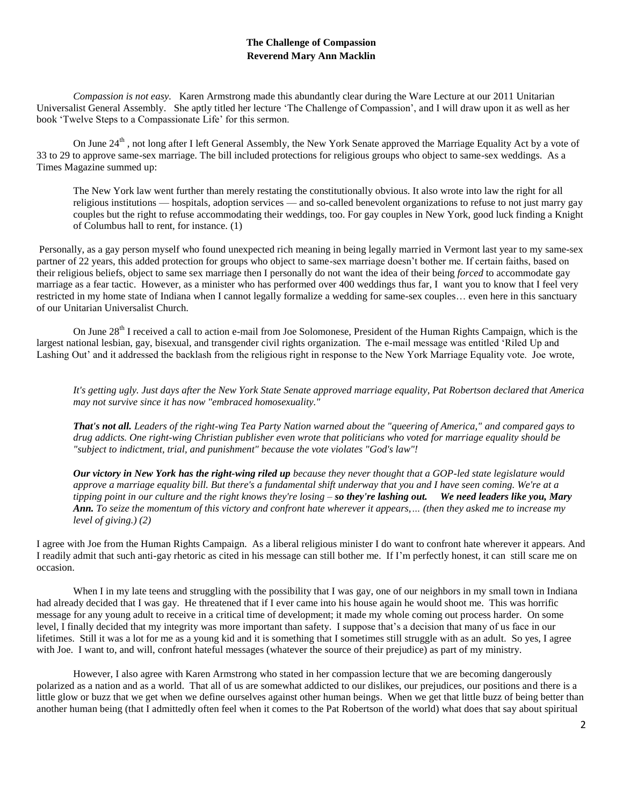## **The Challenge of Compassion Reverend Mary Ann Macklin**

*Compassion is not easy.* Karen Armstrong made this abundantly clear during the Ware Lecture at our 2011 Unitarian Universalist General Assembly. She aptly titled her lecture 'The Challenge of Compassion', and I will draw upon it as well as her book 'Twelve Steps to a Compassionate Life' for this sermon.

On June 24<sup>th</sup>, not long after I left General Assembly, the New York Senate approved the Marriage Equality Act by a vote of 33 to 29 to approve same-sex marriage. The bill included protections for religious groups who object to same-sex weddings. As a Times Magazine summed up:

The New York law went further than merely restating the constitutionally obvious. It also wrote into law the right for all religious institutions — hospitals, adoption services — and so-called benevolent organizations to refuse to not just marry gay couples but the right to refuse accommodating their weddings, too. For gay couples in New York, good luck finding a Knight of Columbus hall to rent, for instance. (1)

Personally, as a gay person myself who found unexpected rich meaning in being legally married in Vermont last year to my same-sex partner of 22 years, this added protection for groups who object to same-sex marriage doesn't bother me. If certain faiths, based on their religious beliefs, object to same sex marriage then I personally do not want the idea of their being *forced* to accommodate gay marriage as a fear tactic. However, as a minister who has performed over 400 weddings thus far, I want you to know that I feel very restricted in my home state of Indiana when I cannot legally formalize a wedding for same-sex couples… even here in this sanctuary of our Unitarian Universalist Church.

On June  $28<sup>th</sup>$  I received a call to action e-mail from Joe Solomonese, President of the Human Rights Campaign, which is the largest national lesbian, gay, bisexual, and transgender civil rights organization. The e-mail message was entitled 'Riled Up and Lashing Out' and it addressed the backlash from the religious right in response to the New York Marriage Equality vote. Joe wrote,

*It's getting ugly. Just days after the New York State Senate approved marriage equality, Pat Robertson declared that America may not survive since it has now "embraced homosexuality."*

*That's not all. Leaders of the right-wing Tea Party Nation warned about the "queering of America," and compared gays to drug addicts. One right-wing Christian publisher even wrote that politicians who voted for marriage equality should be "subject to indictment, trial, and punishment" because the vote violates "God's law"!*

*Our victory in New York has the right-wing riled up because they never thought that a GOP-led state legislature would approve a marriage equality bill. But there's a fundamental shift underway that you and I have seen coming. We're at a tipping point in our culture and the right knows they're losing – so they're lashing out. We need leaders like you, Mary Ann. To seize the momentum of this victory and confront hate wherever it appears,… (then they asked me to increase my level of giving.) (2)*

I agree with Joe from the Human Rights Campaign. As a liberal religious minister I do want to confront hate wherever it appears. And I readily admit that such anti-gay rhetoric as cited in his message can still bother me. If I'm perfectly honest, it can still scare me on occasion.

When I in my late teens and struggling with the possibility that I was gay, one of our neighbors in my small town in Indiana had already decided that I was gay. He threatened that if I ever came into his house again he would shoot me. This was horrific message for any young adult to receive in a critical time of development; it made my whole coming out process harder. On some level, I finally decided that my integrity was more important than safety. I suppose that's a decision that many of us face in our lifetimes. Still it was a lot for me as a young kid and it is something that I sometimes still struggle with as an adult. So yes, I agree with Joe. I want to, and will, confront hateful messages (whatever the source of their prejudice) as part of my ministry.

However, I also agree with Karen Armstrong who stated in her compassion lecture that we are becoming dangerously polarized as a nation and as a world. That all of us are somewhat addicted to our dislikes, our prejudices, our positions and there is a little glow or buzz that we get when we define ourselves against other human beings. When we get that little buzz of being better than another human being (that I admittedly often feel when it comes to the Pat Robertson of the world) what does that say about spiritual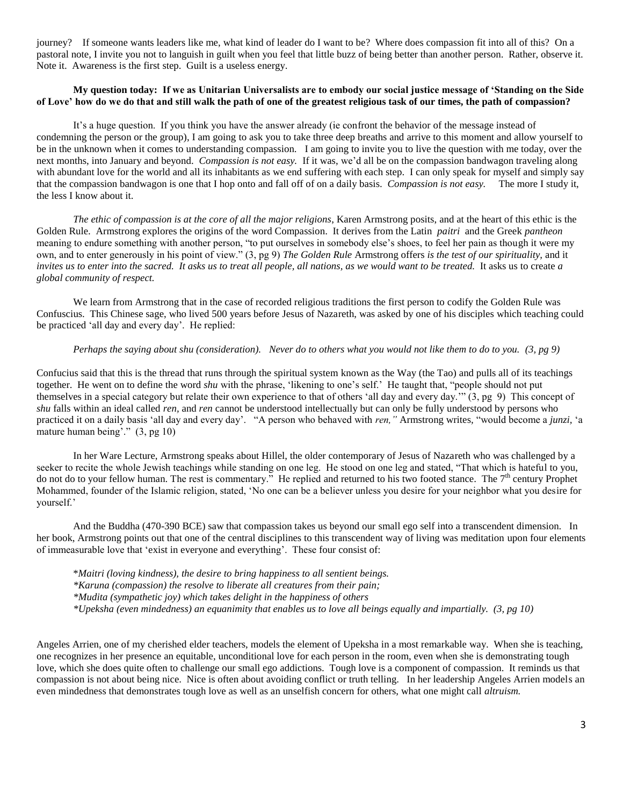journey? If someone wants leaders like me, what kind of leader do I want to be? Where does compassion fit into all of this? On a pastoral note, I invite you not to languish in guilt when you feel that little buzz of being better than another person. Rather, observe it. Note it. Awareness is the first step. Guilt is a useless energy.

## **My question today: If we as Unitarian Universalists are to embody our social justice message of 'Standing on the Side of Love' how do we do that and still walk the path of one of the greatest religious task of our times, the path of compassion?**

It's a huge question. If you think you have the answer already (ie confront the behavior of the message instead of condemning the person or the group), I am going to ask you to take three deep breaths and arrive to this moment and allow yourself to be in the unknown when it comes to understanding compassion. I am going to invite you to live the question with me today, over the next months, into January and beyond. *Compassion is not easy.* If it was, we'd all be on the compassion bandwagon traveling along with abundant love for the world and all its inhabitants as we end suffering with each step. I can only speak for myself and simply say that the compassion bandwagon is one that I hop onto and fall off of on a daily basis. *Compassion is not easy.* The more I study it, the less I know about it.

*The ethic of compassion is at the core of all the major religions*, Karen Armstrong posits, and at the heart of this ethic is the Golden Rule. Armstrong explores the origins of the word Compassion. It derives from the Latin *paitri* and the Greek *pantheon*  meaning to endure something with another person, "to put ourselves in somebody else's shoes, to feel her pain as though it were my own, and to enter generously in his point of view." (3, pg 9) *The Golden Rule* Armstrong offers *is the test of our spirituality,* and it *invites us to enter into the sacred. It asks us to treat all people, all nations, as we would want to be treated.* It asks us to create *a global community of respect.* 

We learn from Armstrong that in the case of recorded religious traditions the first person to codify the Golden Rule was Confuscius. This Chinese sage, who lived 500 years before Jesus of Nazareth, was asked by one of his disciples which teaching could be practiced 'all day and every day'. He replied:

## *Perhaps the saying about shu (consideration). Never do to others what you would not like them to do to you. (3, pg 9)*

Confucius said that this is the thread that runs through the spiritual system known as the Way (the Tao) and pulls all of its teachings together. He went on to define the word *shu* with the phrase, 'likening to one's self.' He taught that, "people should not put themselves in a special category but relate their own experience to that of others 'all day and every day.'" (3, pg 9) This concept of *shu* falls within an ideal called *ren,* and *ren* cannot be understood intellectually but can only be fully understood by persons who practiced it on a daily basis 'all day and every day'. "A person who behaved with *ren,"* Armstrong writes*,* "would become a *junzi,* 'a mature human being'." (3, pg 10)

In her Ware Lecture, Armstrong speaks about Hillel, the older contemporary of Jesus of Nazareth who was challenged by a seeker to recite the whole Jewish teachings while standing on one leg. He stood on one leg and stated, "That which is hateful to you, do not do to your fellow human. The rest is commentary." He replied and returned to his two footed stance. The  $7<sup>th</sup>$  century Prophet Mohammed, founder of the Islamic religion, stated, 'No one can be a believer unless you desire for your neighbor what you desire for yourself.'

And the Buddha (470-390 BCE) saw that compassion takes us beyond our small ego self into a transcendent dimension. In her book, Armstrong points out that one of the central disciplines to this transcendent way of living was meditation upon four elements of immeasurable love that 'exist in everyone and everything'. These four consist of:

\**Maitri (loving kindness), the desire to bring happiness to all sentient beings.*

*\*Karuna (compassion) the resolve to liberate all creatures from their pain;*

*\*Mudita (sympathetic joy) which takes delight in the happiness of others*

*\*Upeksha (even mindedness) an equanimity that enables us to love all beings equally and impartially. (3, pg 10)* 

Angeles Arrien, one of my cherished elder teachers, models the element of Upeksha in a most remarkable way. When she is teaching, one recognizes in her presence an equitable, unconditional love for each person in the room, even when she is demonstrating tough love, which she does quite often to challenge our small ego addictions. Tough love is a component of compassion. It reminds us that compassion is not about being nice. Nice is often about avoiding conflict or truth telling. In her leadership Angeles Arrien models an even mindedness that demonstrates tough love as well as an unselfish concern for others, what one might call *altruism.*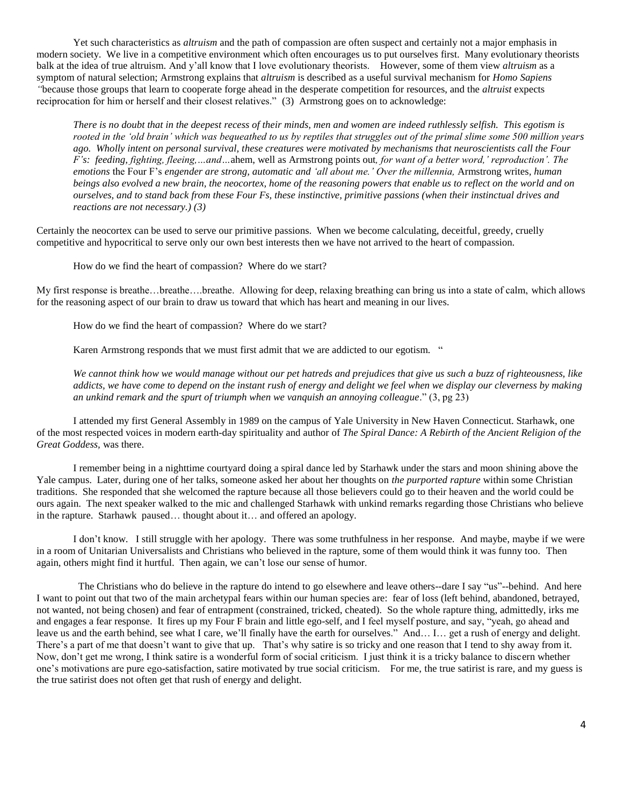Yet such characteristics as *altruism* and the path of compassion are often suspect and certainly not a major emphasis in modern society. We live in a competitive environment which often encourages us to put ourselves first. Many evolutionary theorists balk at the idea of true altruism. And y'all know that I love evolutionary theorists. However, some of them view *altruism* as a symptom of natural selection; Armstrong explains that *altruism* is described as a useful survival mechanism for *Homo Sapiens "*because those groups that learn to cooperate forge ahead in the desperate competition for resources, and the *altruist* expects reciprocation for him or herself and their closest relatives." (3) Armstrong goes on to acknowledge:

*There is no doubt that in the deepest recess of their minds, men and women are indeed ruthlessly selfish. This egotism is rooted in the 'old brain' which was bequeathed to us by reptiles that struggles out of the primal slime some 500 million years ago. Wholly intent on personal survival, these creatures were motivated by mechanisms that neuroscientists call the Four F's: feeding, fighting, fleeing,…and…*ahem, well as Armstrong points out*, for want of a better word,' reproduction'. The emotions* the Four F's *engender are strong, automatic and 'all about me.' Over the millennia,* Armstrong writes*, human beings also evolved a new brain, the neocortex, home of the reasoning powers that enable us to reflect on the world and on ourselves, and to stand back from these Four Fs, these instinctive, primitive passions (when their instinctual drives and reactions are not necessary.) (3)*

Certainly the neocortex can be used to serve our primitive passions. When we become calculating, deceitful, greedy, cruelly competitive and hypocritical to serve only our own best interests then we have not arrived to the heart of compassion.

How do we find the heart of compassion? Where do we start?

My first response is breathe…breathe….breathe. Allowing for deep, relaxing breathing can bring us into a state of calm, which allows for the reasoning aspect of our brain to draw us toward that which has heart and meaning in our lives.

How do we find the heart of compassion? Where do we start?

Karen Armstrong responds that we must first admit that we are addicted to our egotism. "

*We cannot think how we would manage without our pet hatreds and prejudices that give us such a buzz of righteousness, like addicts, we have come to depend on the instant rush of energy and delight we feel when we display our cleverness by making an unkind remark and the spurt of triumph when we vanquish an annoying colleague*." (3, pg 23)

I attended my first General Assembly in 1989 on the campus of Yale University in New Haven Connecticut. Starhawk, one of the most respected voices in modern earth-day spirituality and author of *The Spiral Dance: A Rebirth of the Ancient Religion of the Great Goddess,* was there.

I remember being in a nighttime courtyard doing a spiral dance led by Starhawk under the stars and moon shining above the Yale campus. Later, during one of her talks, someone asked her about her thoughts on *the purported rapture* within some Christian traditions. She responded that she welcomed the rapture because all those believers could go to their heaven and the world could be ours again. The next speaker walked to the mic and challenged Starhawk with unkind remarks regarding those Christians who believe in the rapture. Starhawk paused… thought about it… and offered an apology.

I don't know. I still struggle with her apology. There was some truthfulness in her response. And maybe, maybe if we were in a room of Unitarian Universalists and Christians who believed in the rapture, some of them would think it was funny too. Then again, others might find it hurtful. Then again, we can't lose our sense of humor.

 The Christians who do believe in the rapture do intend to go elsewhere and leave others--dare I say "us"--behind. And here I want to point out that two of the main archetypal fears within our human species are: fear of loss (left behind, abandoned, betrayed, not wanted, not being chosen) and fear of entrapment (constrained, tricked, cheated). So the whole rapture thing, admittedly, irks me and engages a fear response. It fires up my Four F brain and little ego-self, and I feel myself posture, and say, "yeah, go ahead and leave us and the earth behind, see what I care, we'll finally have the earth for ourselves." And… I… get a rush of energy and delight. There's a part of me that doesn't want to give that up. That's why satire is so tricky and one reason that I tend to shy away from it. Now, don't get me wrong, I think satire is a wonderful form of social criticism. I just think it is a tricky balance to discern whether one's motivations are pure ego-satisfaction, satire motivated by true social criticism. For me, the true satirist is rare, and my guess is the true satirist does not often get that rush of energy and delight.